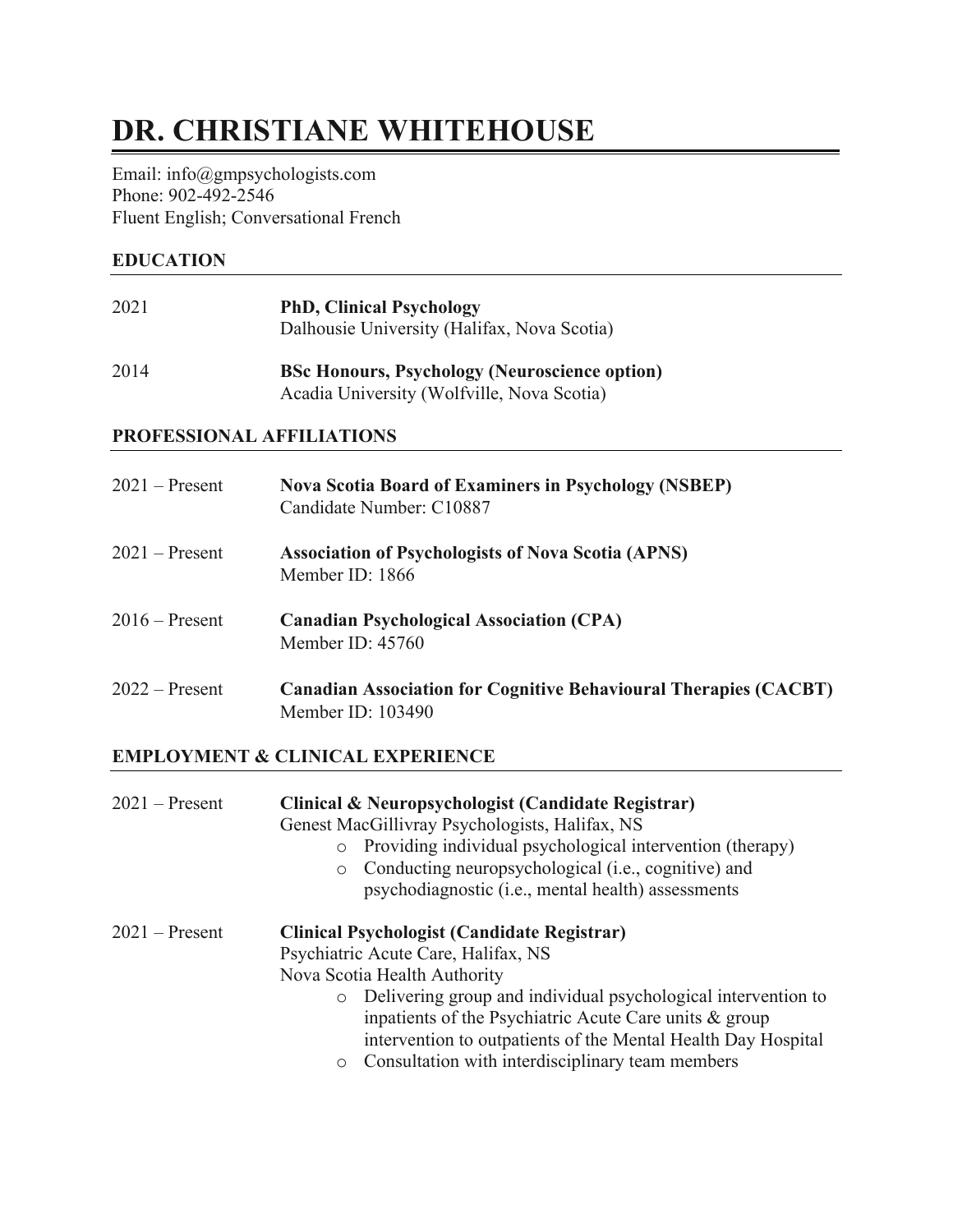# **DR. CHRISTIANE WHITEHOUSE**

Email: info@gmpsychologists.com Phone: 902-492-2546 Fluent English; Conversational French

### **EDUCATION**

| 2021 | <b>PhD, Clinical Psychology</b><br>Dalhousie University (Halifax, Nova Scotia) |
|------|--------------------------------------------------------------------------------|
| 2014 | <b>BSc Honours, Psychology (Neuroscience option)</b>                           |

# Acadia University (Wolfville, Nova Scotia)

#### **PROFESSIONAL AFFILIATIONS**

| $2021 -$ Present | <b>Nova Scotia Board of Examiners in Psychology (NSBEP)</b><br>Candidate Number: C10887      |
|------------------|----------------------------------------------------------------------------------------------|
| $2021$ – Present | <b>Association of Psychologists of Nova Scotia (APNS)</b><br>Member ID: 1866                 |
| $2016$ – Present | <b>Canadian Psychological Association (CPA)</b><br>Member ID: 45760                          |
| $2022 -$ Present | <b>Canadian Association for Cognitive Behavioural Therapies (CACBT)</b><br>Member ID: 103490 |

# **EMPLOYMENT & CLINICAL EXPERIENCE**

| $2021$ – Present | Clinical & Neuropsychologist (Candidate Registrar)<br>Genest MacGillivray Psychologists, Halifax, NS<br>Providing individual psychological intervention (therapy)<br>$\circ$<br>Conducting neuropsychological (i.e., cognitive) and<br>$\circ$<br>psychodiagnostic (i.e., mental health) assessments                                                                                      |
|------------------|-------------------------------------------------------------------------------------------------------------------------------------------------------------------------------------------------------------------------------------------------------------------------------------------------------------------------------------------------------------------------------------------|
| $2021$ – Present | <b>Clinical Psychologist (Candidate Registrar)</b><br>Psychiatric Acute Care, Halifax, NS<br>Nova Scotia Health Authority<br>o Delivering group and individual psychological intervention to<br>inpatients of the Psychiatric Acute Care units $\&$ group<br>intervention to outpatients of the Mental Health Day Hospital<br>Consultation with interdisciplinary team members<br>$\circ$ |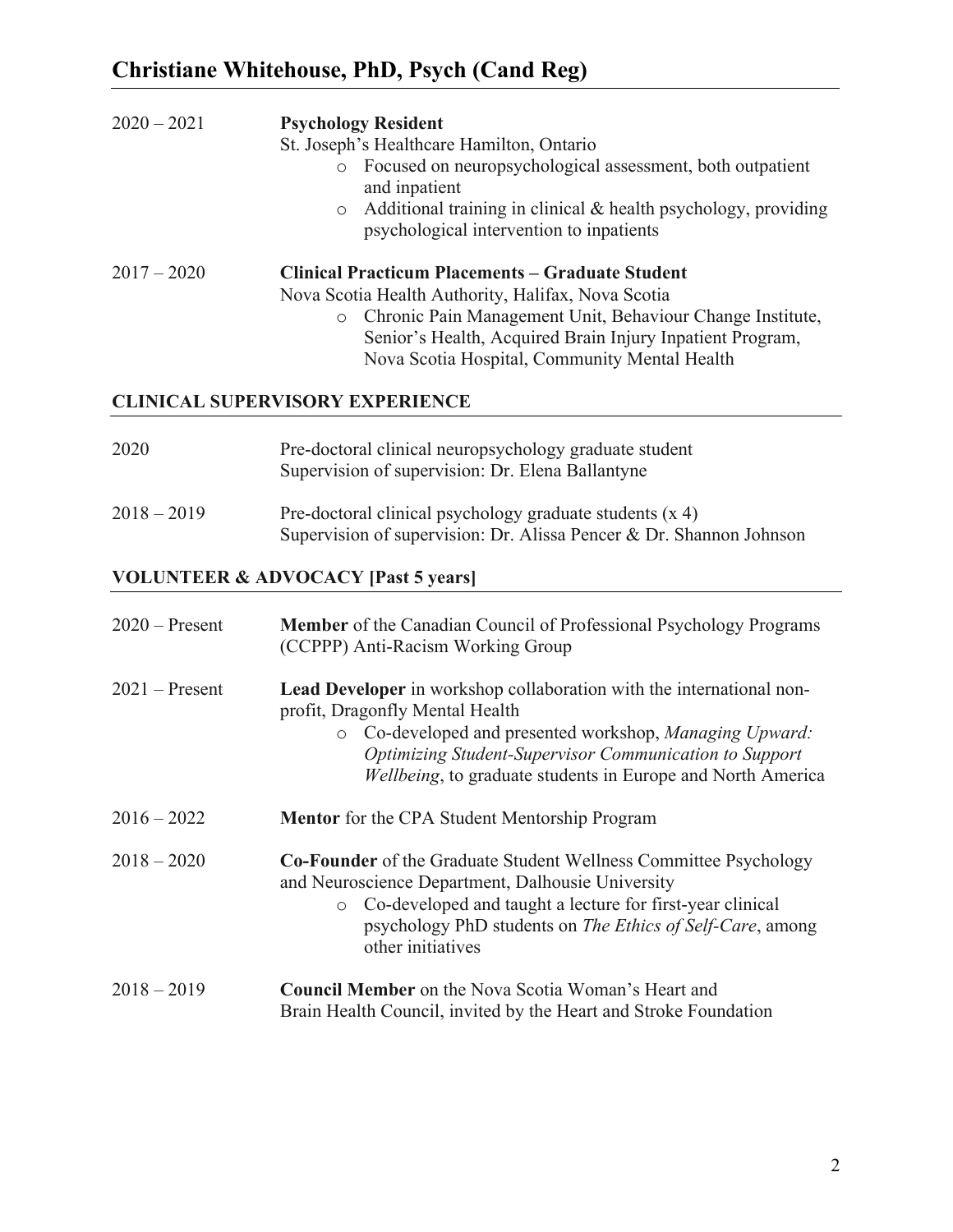| $2020 - 2021$    | <b>Psychology Resident</b><br>St. Joseph's Healthcare Hamilton, Ontario<br>o Focused on neuropsychological assessment, both outpatient<br>and inpatient<br>Additional training in clinical & health psychology, providing<br>$\circ$<br>psychological intervention to inpatients                    |  |
|------------------|-----------------------------------------------------------------------------------------------------------------------------------------------------------------------------------------------------------------------------------------------------------------------------------------------------|--|
| $2017 - 2020$    | <b>Clinical Practicum Placements - Graduate Student</b><br>Nova Scotia Health Authority, Halifax, Nova Scotia<br>Chronic Pain Management Unit, Behaviour Change Institute,<br>$\circ$<br>Senior's Health, Acquired Brain Injury Inpatient Program,<br>Nova Scotia Hospital, Community Mental Health |  |
|                  | <b>CLINICAL SUPERVISORY EXPERIENCE</b>                                                                                                                                                                                                                                                              |  |
| 2020             | Pre-doctoral clinical neuropsychology graduate student<br>Supervision of supervision: Dr. Elena Ballantyne                                                                                                                                                                                          |  |
| $2018 - 2019$    | Pre-doctoral clinical psychology graduate students (x 4)<br>Supervision of supervision: Dr. Alissa Pencer & Dr. Shannon Johnson                                                                                                                                                                     |  |
|                  | <b>VOLUNTEER &amp; ADVOCACY [Past 5 years]</b>                                                                                                                                                                                                                                                      |  |
| $2020$ – Present | <b>Member</b> of the Canadian Council of Professional Psychology Programs<br>(CCPPP) Anti-Racism Working Group                                                                                                                                                                                      |  |
| $2021$ – Present | Lead Developer in workshop collaboration with the international non-<br>profit, Dragonfly Mental Health<br>o Co-developed and presented workshop, Managing Upward:<br>Optimizing Student-Supervisor Communication to Support<br>Wellbeing, to graduate students in Europe and North America         |  |
| $2016 - 2022$    | <b>Mentor</b> for the CPA Student Mentorship Program                                                                                                                                                                                                                                                |  |
| $2018 - 2020$    | Co-Founder of the Graduate Student Wellness Committee Psychology<br>and Neuroscience Department, Dalhousie University<br>Co-developed and taught a lecture for first-year clinical<br>$\circ$<br>psychology PhD students on <i>The Ethics of Self-Care</i> , among<br>other initiatives             |  |
| $2018 - 2019$    | <b>Council Member</b> on the Nova Scotia Woman's Heart and<br>Brain Health Council, invited by the Heart and Stroke Foundation                                                                                                                                                                      |  |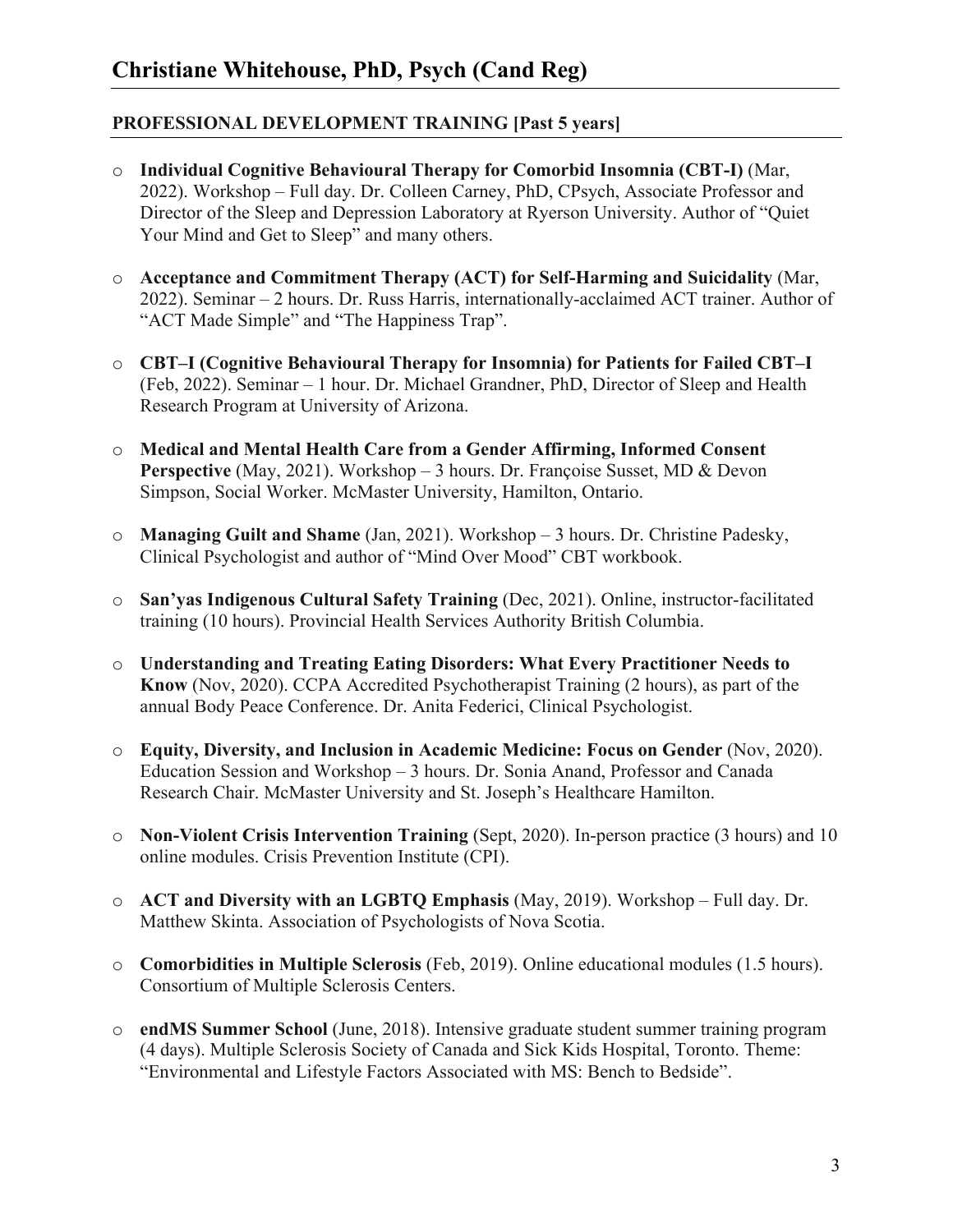# **PROFESSIONAL DEVELOPMENT TRAINING [Past 5 years]**

- o **Individual Cognitive Behavioural Therapy for Comorbid Insomnia (CBT-I)** (Mar, 2022). Workshop – Full day. Dr. Colleen Carney, PhD, CPsych, Associate Professor and Director of the Sleep and Depression Laboratory at Ryerson University. Author of "Quiet Your Mind and Get to Sleep" and many others.
- o **Acceptance and Commitment Therapy (ACT) for Self-Harming and Suicidality** (Mar, 2022). Seminar – 2 hours. Dr. Russ Harris, internationally-acclaimed ACT trainer. Author of "ACT Made Simple" and "The Happiness Trap".
- o **CBT–I (Cognitive Behavioural Therapy for Insomnia) for Patients for Failed CBT–I** (Feb, 2022). Seminar – 1 hour. Dr. Michael Grandner, PhD, Director of Sleep and Health Research Program at University of Arizona.
- o **Medical and Mental Health Care from a Gender Affirming, Informed Consent Perspective** (May, 2021). Workshop – 3 hours. Dr. Françoise Susset, MD & Devon Simpson, Social Worker. McMaster University, Hamilton, Ontario.
- o **Managing Guilt and Shame** (Jan, 2021). Workshop 3 hours. Dr. Christine Padesky, Clinical Psychologist and author of "Mind Over Mood" CBT workbook.
- o **San'yas Indigenous Cultural Safety Training** (Dec, 2021). Online, instructor-facilitated training (10 hours). Provincial Health Services Authority British Columbia.
- o **Understanding and Treating Eating Disorders: What Every Practitioner Needs to Know** (Nov, 2020). CCPA Accredited Psychotherapist Training (2 hours), as part of the annual Body Peace Conference. Dr. Anita Federici, Clinical Psychologist.
- o **Equity, Diversity, and Inclusion in Academic Medicine: Focus on Gender** (Nov, 2020). Education Session and Workshop – 3 hours. Dr. Sonia Anand, Professor and Canada Research Chair. McMaster University and St. Joseph's Healthcare Hamilton.
- o **Non-Violent Crisis Intervention Training** (Sept, 2020). In-person practice (3 hours) and 10 online modules. Crisis Prevention Institute (CPI).
- o **ACT and Diversity with an LGBTQ Emphasis** (May, 2019). Workshop Full day. Dr. Matthew Skinta. Association of Psychologists of Nova Scotia.
- o **Comorbidities in Multiple Sclerosis** (Feb, 2019). Online educational modules (1.5 hours). Consortium of Multiple Sclerosis Centers.
- o **endMS Summer School** (June, 2018). Intensive graduate student summer training program (4 days). Multiple Sclerosis Society of Canada and Sick Kids Hospital, Toronto. Theme: "Environmental and Lifestyle Factors Associated with MS: Bench to Bedside".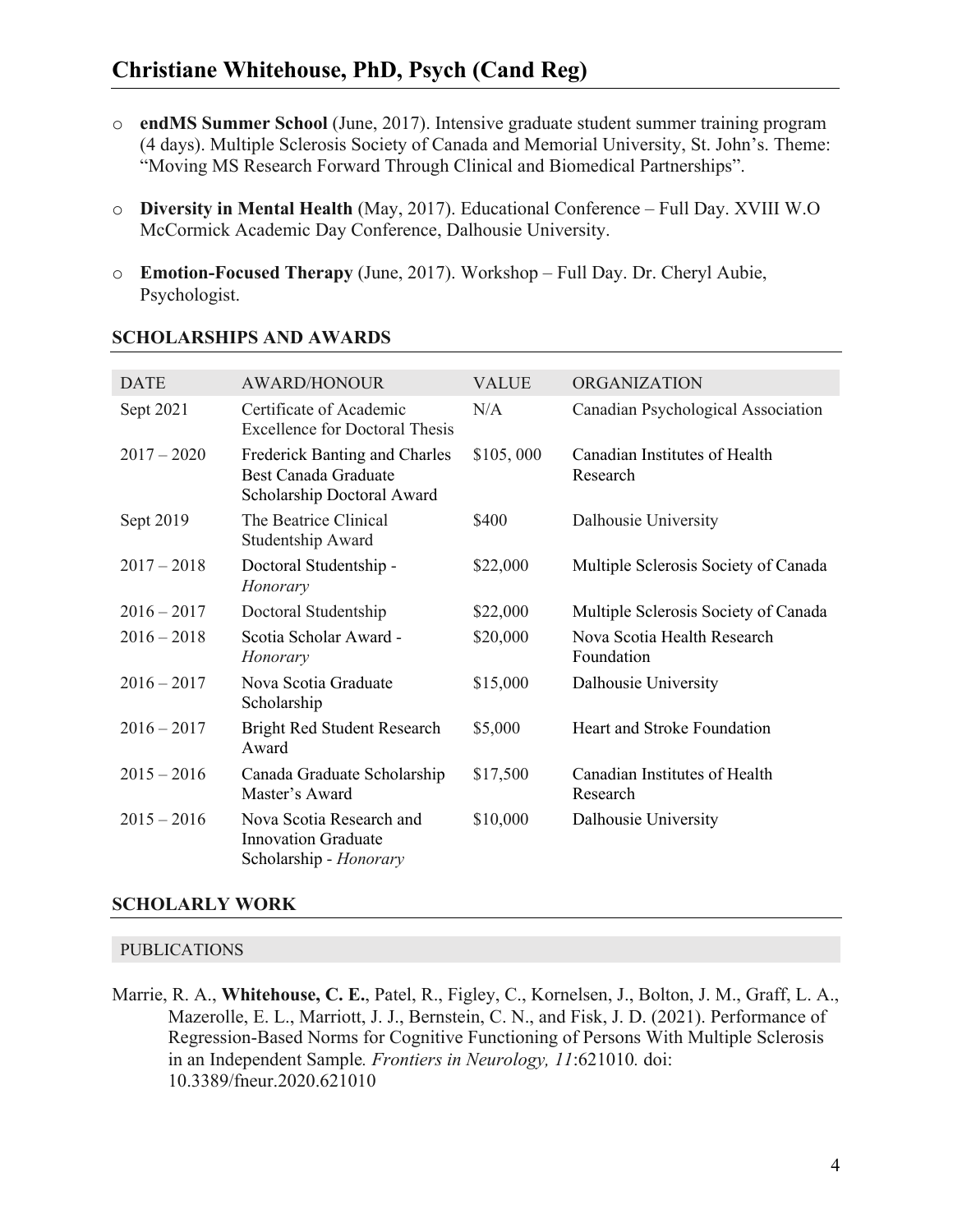- o **endMS Summer School** (June, 2017). Intensive graduate student summer training program (4 days). Multiple Sclerosis Society of Canada and Memorial University, St. John's. Theme: "Moving MS Research Forward Through Clinical and Biomedical Partnerships".
- o **Diversity in Mental Health** (May, 2017). Educational Conference Full Day. XVIII W.O McCormick Academic Day Conference, Dalhousie University.
- o **Emotion-Focused Therapy** (June, 2017). Workshop Full Day. Dr. Cheryl Aubie, Psychologist.

| <b>DATE</b>   | <b>AWARD/HONOUR</b>                                                                        | <b>VALUE</b> | <b>ORGANIZATION</b>                       |
|---------------|--------------------------------------------------------------------------------------------|--------------|-------------------------------------------|
| Sept 2021     | Certificate of Academic<br><b>Excellence for Doctoral Thesis</b>                           | N/A          | Canadian Psychological Association        |
| $2017 - 2020$ | Frederick Banting and Charles<br><b>Best Canada Graduate</b><br>Scholarship Doctoral Award | \$105,000    | Canadian Institutes of Health<br>Research |
| Sept 2019     | The Beatrice Clinical<br>Studentship Award                                                 | \$400        | Dalhousie University                      |
| $2017 - 2018$ | Doctoral Studentship -<br>Honorary                                                         | \$22,000     | Multiple Sclerosis Society of Canada      |
| $2016 - 2017$ | Doctoral Studentship                                                                       | \$22,000     | Multiple Sclerosis Society of Canada      |
| $2016 - 2018$ | Scotia Scholar Award -<br>Honorary                                                         | \$20,000     | Nova Scotia Health Research<br>Foundation |
| $2016 - 2017$ | Nova Scotia Graduate<br>Scholarship                                                        | \$15,000     | Dalhousie University                      |
| $2016 - 2017$ | <b>Bright Red Student Research</b><br>Award                                                | \$5,000      | Heart and Stroke Foundation               |
| $2015 - 2016$ | Canada Graduate Scholarship<br>Master's Award                                              | \$17,500     | Canadian Institutes of Health<br>Research |
| $2015 - 2016$ | Nova Scotia Research and<br><b>Innovation Graduate</b><br>Scholarship - Honorary           | \$10,000     | Dalhousie University                      |

#### **SCHOLARSHIPS AND AWARDS**

#### **SCHOLARLY WORK**

#### PUBLICATIONS

Marrie, R. A., **Whitehouse, C. E.**, Patel, R., Figley, C., Kornelsen, J., Bolton, J. M., Graff, L. A., Mazerolle, E. L., Marriott, J. J., Bernstein, C. N., and Fisk, J. D. (2021). Performance of Regression-Based Norms for Cognitive Functioning of Persons With Multiple Sclerosis in an Independent Sample*. Frontiers in Neurology, 11*:621010*.* doi: 10.3389/fneur.2020.621010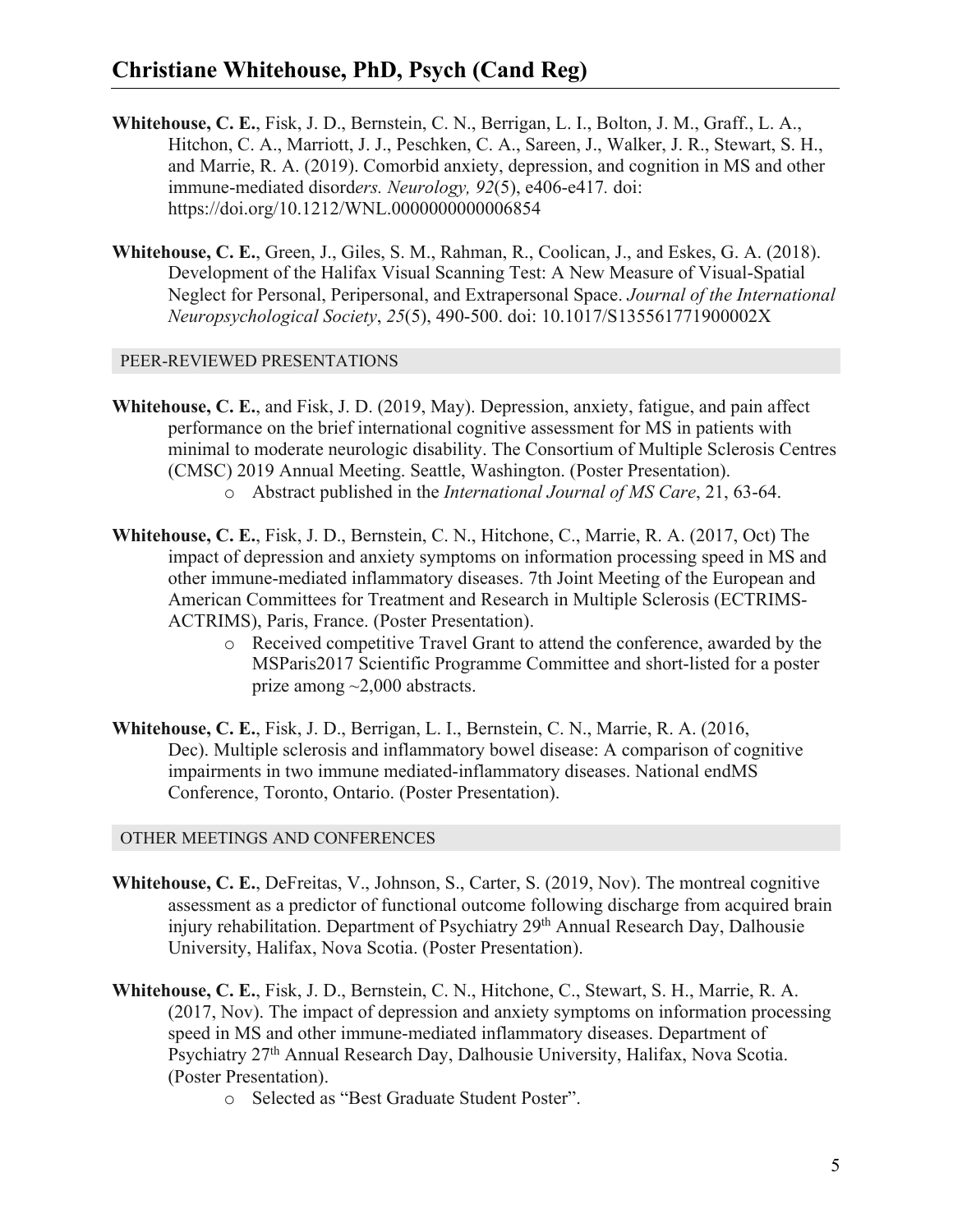- **Whitehouse, C. E.**, Fisk, J. D., Bernstein, C. N., Berrigan, L. I., Bolton, J. M., Graff., L. A., Hitchon, C. A., Marriott, J. J., Peschken, C. A., Sareen, J., Walker, J. R., Stewart, S. H., and Marrie, R. A. (2019). Comorbid anxiety, depression, and cognition in MS and other immune-mediated disord*ers. Neurology, 92*(5), e406-e417*.* doi: https://doi.org/10.1212/WNL.0000000000006854
- **Whitehouse, C. E.**, Green, J., Giles, S. M., Rahman, R., Coolican, J., and Eskes, G. A. (2018). Development of the Halifax Visual Scanning Test: A New Measure of Visual-Spatial Neglect for Personal, Peripersonal, and Extrapersonal Space. *Journal of the International Neuropsychological Society*, *25*(5), 490-500. doi: 10.1017/S135561771900002X

#### PEER-REVIEWED PRESENTATIONS

- **Whitehouse, C. E.**, and Fisk, J. D. (2019, May). Depression, anxiety, fatigue, and pain affect performance on the brief international cognitive assessment for MS in patients with minimal to moderate neurologic disability. The Consortium of Multiple Sclerosis Centres (CMSC) 2019 Annual Meeting. Seattle, Washington. (Poster Presentation). o Abstract published in the *International Journal of MS Care*, 21, 63-64.
- **Whitehouse, C. E.**, Fisk, J. D., Bernstein, C. N., Hitchone, C., Marrie, R. A. (2017, Oct) The impact of depression and anxiety symptoms on information processing speed in MS and other immune-mediated inflammatory diseases. 7th Joint Meeting of the European and American Committees for Treatment and Research in Multiple Sclerosis (ECTRIMS-ACTRIMS), Paris, France. (Poster Presentation).
	- o Received competitive Travel Grant to attend the conference, awarded by the MSParis2017 Scientific Programme Committee and short-listed for a poster prize among ~2,000 abstracts.
- **Whitehouse, C. E.**, Fisk, J. D., Berrigan, L. I., Bernstein, C. N., Marrie, R. A. (2016, Dec). Multiple sclerosis and inflammatory bowel disease: A comparison of cognitive impairments in two immune mediated-inflammatory diseases. National endMS Conference, Toronto, Ontario. (Poster Presentation).

#### OTHER MEETINGS AND CONFERENCES

- **Whitehouse, C. E.**, DeFreitas, V., Johnson, S., Carter, S. (2019, Nov). The montreal cognitive assessment as a predictor of functional outcome following discharge from acquired brain injury rehabilitation. Department of Psychiatry 29<sup>th</sup> Annual Research Day, Dalhousie University, Halifax, Nova Scotia. (Poster Presentation).
- **Whitehouse, C. E.**, Fisk, J. D., Bernstein, C. N., Hitchone, C., Stewart, S. H., Marrie, R. A. (2017, Nov). The impact of depression and anxiety symptoms on information processing speed in MS and other immune-mediated inflammatory diseases. Department of Psychiatry 27<sup>th</sup> Annual Research Day, Dalhousie University, Halifax, Nova Scotia. (Poster Presentation).
	- o Selected as "Best Graduate Student Poster".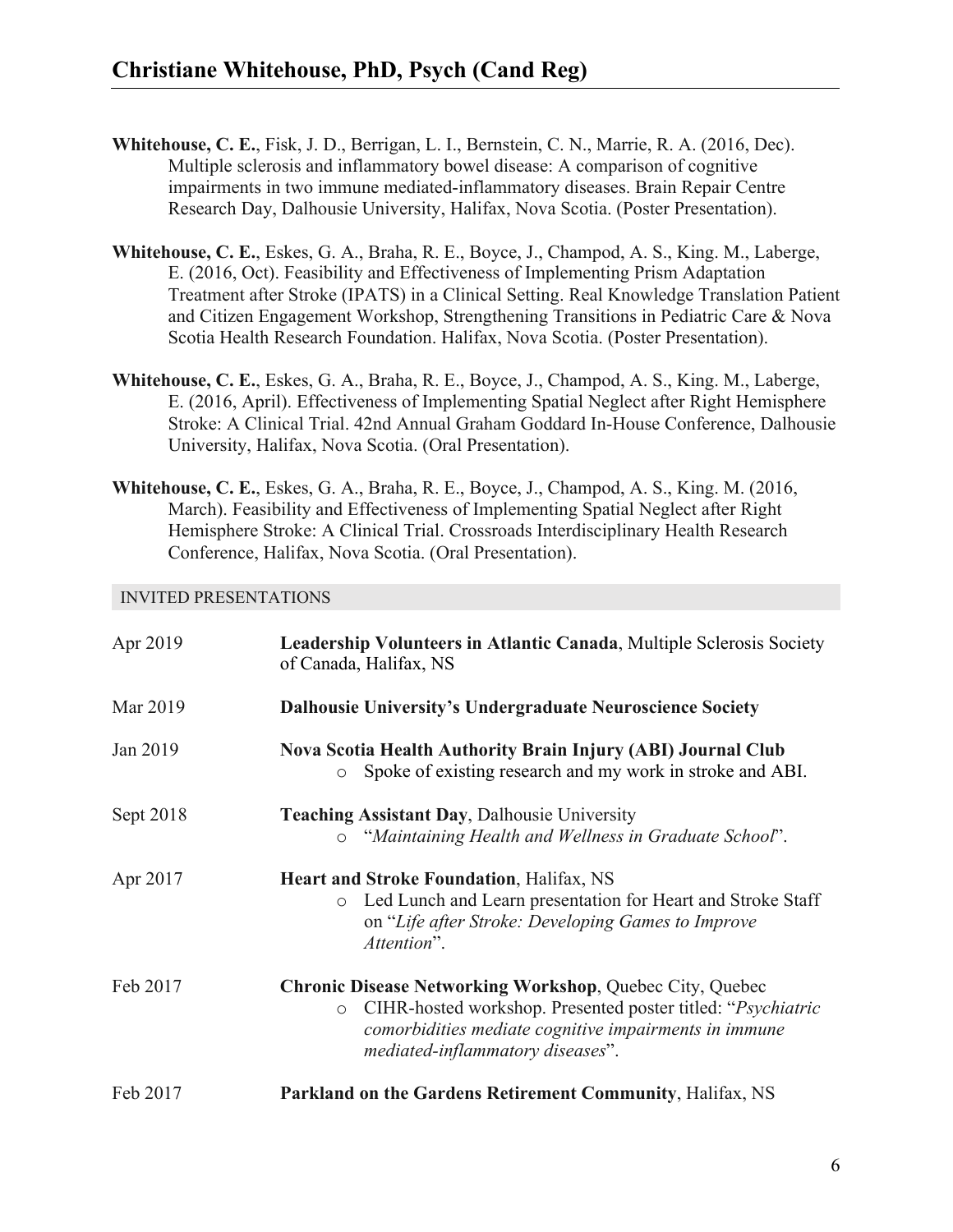- **Whitehouse, C. E.**, Fisk, J. D., Berrigan, L. I., Bernstein, C. N., Marrie, R. A. (2016, Dec). Multiple sclerosis and inflammatory bowel disease: A comparison of cognitive impairments in two immune mediated-inflammatory diseases. Brain Repair Centre Research Day, Dalhousie University, Halifax, Nova Scotia. (Poster Presentation).
- **Whitehouse, C. E.**, Eskes, G. A., Braha, R. E., Boyce, J., Champod, A. S., King. M., Laberge, E. (2016, Oct). Feasibility and Effectiveness of Implementing Prism Adaptation Treatment after Stroke (IPATS) in a Clinical Setting. Real Knowledge Translation Patient and Citizen Engagement Workshop, Strengthening Transitions in Pediatric Care & Nova Scotia Health Research Foundation. Halifax, Nova Scotia. (Poster Presentation).
- **Whitehouse, C. E.**, Eskes, G. A., Braha, R. E., Boyce, J., Champod, A. S., King. M., Laberge, E. (2016, April). Effectiveness of Implementing Spatial Neglect after Right Hemisphere Stroke: A Clinical Trial. 42nd Annual Graham Goddard In-House Conference, Dalhousie University, Halifax, Nova Scotia. (Oral Presentation).
- **Whitehouse, C. E.**, Eskes, G. A., Braha, R. E., Boyce, J., Champod, A. S., King. M. (2016, March). Feasibility and Effectiveness of Implementing Spatial Neglect after Right Hemisphere Stroke: A Clinical Trial. Crossroads Interdisciplinary Health Research Conference, Halifax, Nova Scotia. (Oral Presentation).

#### INVITED PRESENTATIONS

| Apr 2019  | Leadership Volunteers in Atlantic Canada, Multiple Sclerosis Society<br>of Canada, Halifax, NS                                                                                                                                         |
|-----------|----------------------------------------------------------------------------------------------------------------------------------------------------------------------------------------------------------------------------------------|
| Mar 2019  | <b>Dalhousie University's Undergraduate Neuroscience Society</b>                                                                                                                                                                       |
| Jan 2019  | Nova Scotia Health Authority Brain Injury (ABI) Journal Club<br>Spoke of existing research and my work in stroke and ABI.<br>$\circ$                                                                                                   |
| Sept 2018 | <b>Teaching Assistant Day, Dalhousie University</b><br>"Maintaining Health and Wellness in Graduate School".<br>$\circ$                                                                                                                |
| Apr 2017  | <b>Heart and Stroke Foundation, Halifax, NS</b><br>Led Lunch and Learn presentation for Heart and Stroke Staff<br>$\circ$<br>on "Life after Stroke: Developing Games to Improve<br>Attention".                                         |
| Feb 2017  | <b>Chronic Disease Networking Workshop, Quebec City, Quebec</b><br>CIHR-hosted workshop. Presented poster titled: "Psychiatric<br>$\circ$<br>comorbidities mediate cognitive impairments in immune<br>mediated-inflammatory diseases". |
| Feb 2017  | Parkland on the Gardens Retirement Community, Halifax, NS                                                                                                                                                                              |